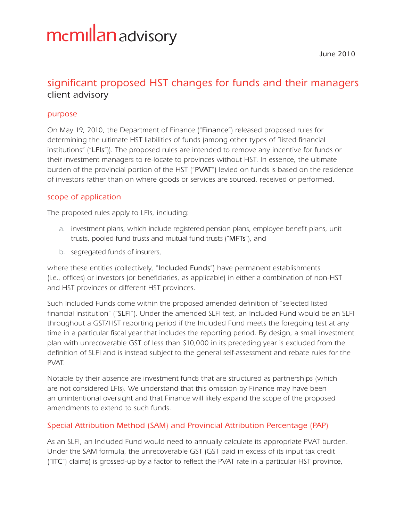# mcmillan advisory

June 2010

# client advisory significant proposed HST changes for funds and their managers

# purpose

On May 19, 2010, the Department of Finance ("Finance") released proposed rules for determining the ultimate HST liabilities of funds (among other types of "listed financial institutions" ("LFIs")). The proposed rules are intended to remove any incentive for funds or their investment managers to re-locate to provinces without HST. In essence, the ultimate burden of the provincial portion of the HST ("PVAT") levied on funds is based on the residence of investors rather than on where goods or services are sourced, received or performed.

# scope of application

The proposed rules apply to LFIs, including:

- a. investment plans, which include registered pension plans, employee benefit plans, unit trusts, pooled fund trusts and mutual fund trusts ("MFTs"), and
- b. segregated funds of insurers,

where these entities (collectively, "Included Funds") have permanent establishments (i.e., offices) or investors (or beneficiaries, as applicable) in either a combination of non-HST and HST provinces or different HST provinces.

Such Included Funds come within the proposed amended definition of "selected listed financial institution" ("SLFI"). Under the amended SLFI test, an Included Fund would be an SLFI throughout a GST/HST reporting period if the Included Fund meets the foregoing test at any time in a particular fiscal year that includes the reporting period. By design, a small investment plan with unrecoverable GST of less than \$10,000 in its preceding year is excluded from the definition of SLFI and is instead subject to the general self-assessment and rebate rules for the PVAT.

Notable by their absence are investment funds that are structured as partnerships (which are not considered LFIs). We understand that this omission by Finance may have been an unintentional oversight and that Finance will likely expand the scope of the proposed amendments to extend to such funds.

# Special Attribution Method (SAM) and Provincial Attribution Percentage (PAP)

As an SLFI, an Included Fund would need to annually calculate its appropriate PVAT burden. Under the SAM formula, the unrecoverable GST (GST paid in excess of its input tax credit ("ITC") claims) is grossed-up by a factor to reflect the PVAT rate in a particular HST province,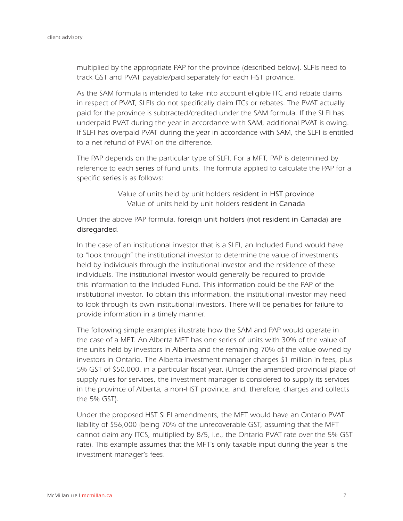multiplied by the appropriate PAP for the province (described below). SLFIs need to track GST and PVAT payable/paid separately for each HST province.

As the SAM formula is intended to take into account eligible ITC and rebate claims in respect of PVAT, SLFIs do not specifically claim ITCs or rebates. The PVAT actually paid for the province is subtracted/credited under the SAM formula. If the SLFI has underpaid PVAT during the year in accordance with SAM, additional PVAT is owing. If SLFI has overpaid PVAT during the year in accordance with SAM, the SLFI is entitled to a net refund of PVAT on the difference.

The PAP depends on the particular type of SLFI. For a MFT, PAP is determined by reference to each series of fund units. The formula applied to calculate the PAP for a specific series is as follows:

> Value of units held by unit holders resident in HST province Value of units held by unit holders resident in Canada

Under the above PAP formula, foreign unit holders (not resident in Canada) are disregarded.

In the case of an institutional investor that is a SLFI, an Included Fund would have to "look through" the institutional investor to determine the value of investments held by individuals through the institutional investor and the residence of these individuals. The institutional investor would generally be required to provide this information to the Included Fund. This information could be the PAP of the institutional investor. To obtain this information, the institutional investor may need to look through its own institutional investors. There will be penalties for failure to provide information in a timely manner.

The following simple examples illustrate how the SAM and PAP would operate in the case of a MFT. An Alberta MFT has one series of units with 30% of the value of the units held by investors in Alberta and the remaining 70% of the value owned by investors in Ontario. The Alberta investment manager charges \$1 million in fees, plus 5% GST of \$50,000, in a particular fiscal year. (Under the amended provincial place of supply rules for services, the investment manager is considered to supply its services in the province of Alberta, a non-HST province, and, therefore, charges and collects the 5% GST).

Under the proposed HST SLFI amendments, the MFT would have an Ontario PVAT liability of \$56,000 (being 70% of the unrecoverable GST, assuming that the MFT cannot claim any ITCS, multiplied by 8/5, i.e., the Ontario PVAT rate over the 5% GST rate). This example assumes that the MFT's only taxable input during the year is the investment manager's fees.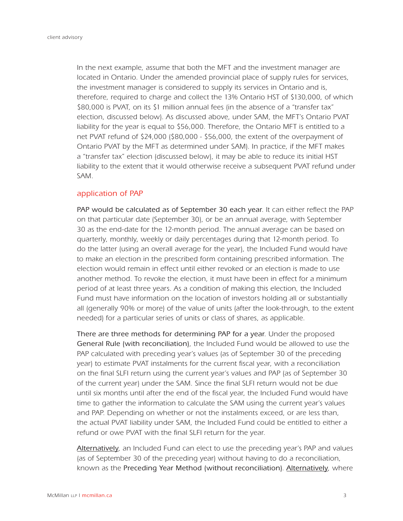In the next example, assume that both the MFT and the investment manager are located in Ontario. Under the amended provincial place of supply rules for services, the investment manager is considered to supply its services in Ontario and is, therefore, required to charge and collect the 13% Ontario HST of \$130,000, of which \$80,000 is PVAT, on its \$1 million annual fees (in the absence of a "transfer tax" election, discussed below). As discussed above, under SAM, the MFT's Ontario PVAT liability for the year is equal to \$56,000. Therefore, the Ontario MFT is entitled to a net PVAT refund of \$24,000 (\$80,000 - \$56,000, the extent of the overpayment of Ontario PVAT by the MFT as determined under SAM). In practice, if the MFT makes a "transfer tax" election (discussed below), it may be able to reduce its initial HST liability to the extent that it would otherwise receive a subsequent PVAT refund under SAM.

#### application of PAP

PAP would be calculated as of September 30 each year. It can either reflect the PAP on that particular date (September 30), or be an annual average, with September 30 as the end-date for the 12-month period. The annual average can be based on quarterly, monthly, weekly or daily percentages during that 12-month period. To do the latter (using an overall average for the year), the Included Fund would have to make an election in the prescribed form containing prescribed information. The election would remain in effect until either revoked or an election is made to use another method. To revoke the election, it must have been in effect for a minimum period of at least three years. As a condition of making this election, the Included Fund must have information on the location of investors holding all or substantially all (generally 90% or more) of the value of units (after the look-through, to the extent needed) for a particular series of units or class of shares, as applicable.

There are three methods for determining PAP for a year. Under the proposed General Rule (with reconciliation), the Included Fund would be allowed to use the PAP calculated with preceding year's values (as of September 30 of the preceding year) to estimate PVAT instalments for the current fiscal year, with a reconciliation on the final SLFI return using the current year's values and PAP (as of September 30 of the current year) under the SAM. Since the final SLFI return would not be due until six months until after the end of the fiscal year, the Included Fund would have time to gather the information to calculate the SAM using the current year's values and PAP. Depending on whether or not the instalments exceed, or are less than, the actual PVAT liability under SAM, the Included Fund could be entitled to either a refund or owe PVAT with the final SLFI return for the year.

Alternatively, an Included Fund can elect to use the preceding year's PAP and values (as of September 30 of the preceding year) without having to do a reconciliation, known as the Preceding Year Method (without reconciliation). Alternatively, where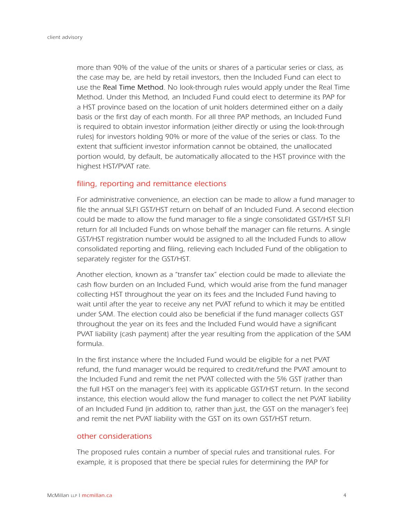more than 90% of the value of the units or shares of a particular series or class, as the case may be, are held by retail investors, then the Included Fund can elect to use the Real Time Method. No look-through rules would apply under the Real Time Method. Under this Method, an Included Fund could elect to determine its PAP for a HST province based on the location of unit holders determined either on a daily basis or the first day of each month. For all three PAP methods, an Included Fund is required to obtain investor information (either directly or using the look-through rules) for investors holding 90% or more of the value of the series or class. To the extent that sufficient investor information cannot be obtained, the unallocated portion would, by default, be automatically allocated to the HST province with the highest HST/PVAT rate.

#### filing, reporting and remittance elections

For administrative convenience, an election can be made to allow a fund manager to file the annual SLFI GST/HST return on behalf of an Included Fund. A second election could be made to allow the fund manager to file a single consolidated GST/HST SLFI return for all Included Funds on whose behalf the manager can file returns. A single GST/HST registration number would be assigned to all the Included Funds to allow consolidated reporting and filing, relieving each Included Fund of the obligation to separately register for the GST/HST.

Another election, known as a "transfer tax" election could be made to alleviate the cash flow burden on an Included Fund, which would arise from the fund manager collecting HST throughout the year on its fees and the Included Fund having to wait until after the year to receive any net PVAT refund to which it may be entitled under SAM. The election could also be beneficial if the fund manager collects GST throughout the year on its fees and the Included Fund would have a significant PVAT liability (cash payment) after the year resulting from the application of the SAM formula.

In the first instance where the Included Fund would be eligible for a net PVAT refund, the fund manager would be required to credit/refund the PVAT amount to the Included Fund and remit the net PVAT collected with the 5% GST (rather than the full HST on the manager's fee) with its applicable GST/HST return. In the second instance, this election would allow the fund manager to collect the net PVAT liability of an Included Fund (in addition to, rather than just, the GST on the manager's fee) and remit the net PVAT liability with the GST on its own GST/HST return.

#### other considerations

The proposed rules contain a number of special rules and transitional rules. For example, it is proposed that there be special rules for determining the PAP for